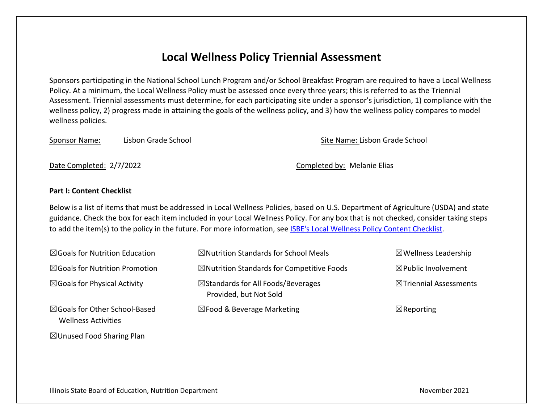## **Local Wellness Policy Triennial Assessment**

Sponsors participating in the National School Lunch Program and/or School Breakfast Program are required to have a Local Wellness Policy. At a minimum, the Local Wellness Policy must be assessed once every three years; this is referred to as the Triennial Assessment. Triennial assessments must determine, for each participating site under a sponsor's jurisdiction, 1) compliance with the wellness policy, 2) progress made in attaining the goals of the wellness policy, and 3) how the wellness policy compares to model wellness policies.

Sponsor Name: Lisbon Grade School Sponsor Name: Lisbon Grade School Site Name: Lisbon Grade School

Date Completed: 2/7/2022 Completed by: Melanie Elias

## **Part I: Content Checklist**

Below is a list of items that must be addressed in Local Wellness Policies, based on U.S. Department of Agriculture (USDA) and state guidance. Check the box for each item included in your Local Wellness Policy. For any box that is not checked, consider taking steps to add the item(s) to the policy in the future. For more information, see ISBE's Local [Wellness Policy Content Checklist](https://www.isbe.net/Documents/Local-Wellness-Policy-Content-Checklist.pdf).

| $\boxtimes$ Goals for Nutrition Education                              | $\boxtimes$ Nutrition Standards for School Meals                        | $\boxtimes$ Wellness Leadership |
|------------------------------------------------------------------------|-------------------------------------------------------------------------|---------------------------------|
| $\boxtimes$ Goals for Nutrition Promotion                              | $\boxtimes$ Nutrition Standards for Competitive Foods                   | $\boxtimes$ Public Involvement  |
| $\boxtimes$ Goals for Physical Activity                                | $\boxtimes$ Standards for All Foods/Beverages<br>Provided, but Not Sold | ⊠Triennial Assessments          |
| $\boxtimes$ Goals for Other School-Based<br><b>Wellness Activities</b> | $\boxtimes$ Food & Beverage Marketing                                   | $\boxtimes$ Reporting           |

 $\boxtimes$  Unused Food Sharing Plan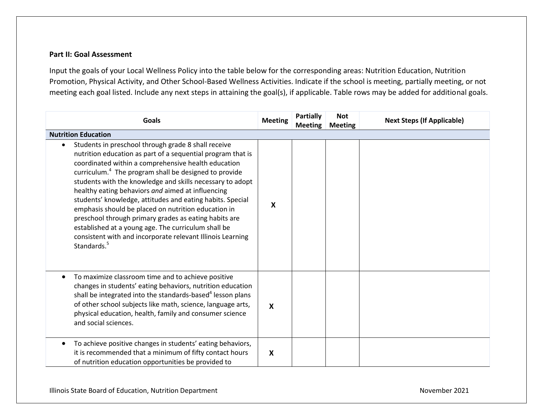## **Part II: Goal Assessment**

Input the goals of your Local Wellness Policy into the table below for the corresponding areas: Nutrition Education, Nutrition Promotion, Physical Activity, and Other School-Based Wellness Activities. Indicate if the school is meeting, partially meeting, or not meeting each goal listed. Include any next steps in attaining the goal(s), if applicable. Table rows may be added for additional goals.

| <b>Goals</b>                                                                                                                                                                                                                                                                                                                                                                                                                                                                                                                                                                                                                                                                                  | <b>Meeting</b> | <b>Partially</b><br><b>Meeting</b> | <b>Not</b><br><b>Meeting</b> | <b>Next Steps (If Applicable)</b> |
|-----------------------------------------------------------------------------------------------------------------------------------------------------------------------------------------------------------------------------------------------------------------------------------------------------------------------------------------------------------------------------------------------------------------------------------------------------------------------------------------------------------------------------------------------------------------------------------------------------------------------------------------------------------------------------------------------|----------------|------------------------------------|------------------------------|-----------------------------------|
| <b>Nutrition Education</b>                                                                                                                                                                                                                                                                                                                                                                                                                                                                                                                                                                                                                                                                    |                |                                    |                              |                                   |
| Students in preschool through grade 8 shall receive<br>nutrition education as part of a sequential program that is<br>coordinated within a comprehensive health education<br>curriculum. <sup>4</sup> The program shall be designed to provide<br>students with the knowledge and skills necessary to adopt<br>healthy eating behaviors and aimed at influencing<br>students' knowledge, attitudes and eating habits. Special<br>emphasis should be placed on nutrition education in<br>preschool through primary grades as eating habits are<br>established at a young age. The curriculum shall be<br>consistent with and incorporate relevant Illinois Learning<br>Standards. <sup>5</sup> | X              |                                    |                              |                                   |
| To maximize classroom time and to achieve positive<br>changes in students' eating behaviors, nutrition education<br>shall be integrated into the standards-based <sup>4</sup> lesson plans<br>of other school subjects like math, science, language arts,<br>physical education, health, family and consumer science<br>and social sciences.                                                                                                                                                                                                                                                                                                                                                  | X              |                                    |                              |                                   |
| To achieve positive changes in students' eating behaviors,<br>it is recommended that a minimum of fifty contact hours<br>of nutrition education opportunities be provided to                                                                                                                                                                                                                                                                                                                                                                                                                                                                                                                  | X              |                                    |                              |                                   |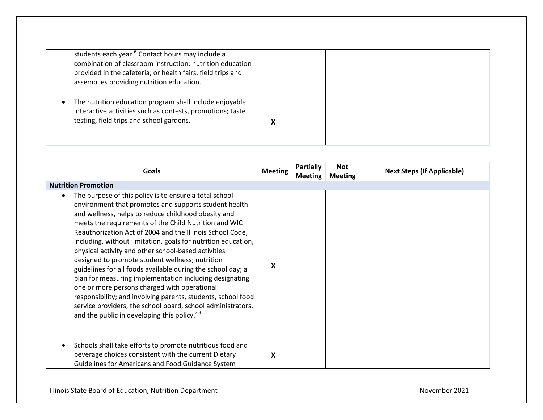| students each year. <sup>6</sup> Contact hours may include a<br>combination of classroom instruction; nutrition education<br>provided in the cafeteria; or health fairs, field trips and<br>assemblies providing nutrition education. |   |  |  |
|---------------------------------------------------------------------------------------------------------------------------------------------------------------------------------------------------------------------------------------|---|--|--|
| The nutrition education program shall include enjoyable<br>interactive activities such as contests, promotions; taste<br>testing, field trips and school gardens.                                                                     | Λ |  |  |

| <b>Goals</b>                                                                                                                                                                                                                                                                                                                                                                                                                                                                                                                                                                                                                                                                                                                                                                                                                                 | <b>Meeting</b> | Partially<br><b>Meeting</b> | <b>Not</b><br><b>Meeting</b> | <b>Next Steps (If Applicable)</b> |
|----------------------------------------------------------------------------------------------------------------------------------------------------------------------------------------------------------------------------------------------------------------------------------------------------------------------------------------------------------------------------------------------------------------------------------------------------------------------------------------------------------------------------------------------------------------------------------------------------------------------------------------------------------------------------------------------------------------------------------------------------------------------------------------------------------------------------------------------|----------------|-----------------------------|------------------------------|-----------------------------------|
| <b>Nutrition Promotion</b>                                                                                                                                                                                                                                                                                                                                                                                                                                                                                                                                                                                                                                                                                                                                                                                                                   |                |                             |                              |                                   |
| The purpose of this policy is to ensure a total school<br>environment that promotes and supports student health<br>and wellness, helps to reduce childhood obesity and<br>meets the requirements of the Child Nutrition and WIC<br>Reauthorization Act of 2004 and the Illinois School Code,<br>including, without limitation, goals for nutrition education,<br>physical activity and other school-based activities<br>designed to promote student wellness; nutrition<br>guidelines for all foods available during the school day; a<br>plan for measuring implementation including designating<br>one or more persons charged with operational<br>responsibility; and involving parents, students, school food<br>service providers, the school board, school administrators,<br>and the public in developing this policy. <sup>2,3</sup> | x              |                             |                              |                                   |
| Schools shall take efforts to promote nutritious food and<br>beverage choices consistent with the current Dietary<br>Guidelines for Americans and Food Guidance System                                                                                                                                                                                                                                                                                                                                                                                                                                                                                                                                                                                                                                                                       | x              |                             |                              |                                   |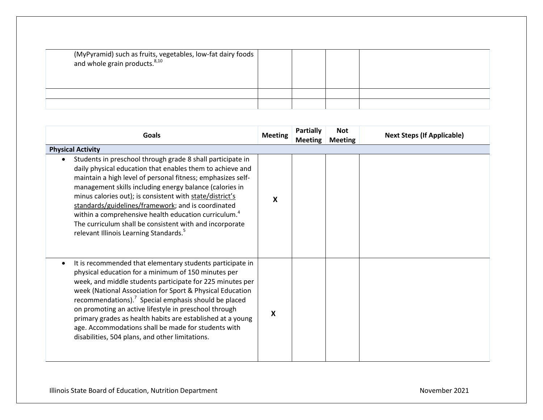| (MyPyramid) such as fruits, vegetables, low-fat dairy foods<br>and whole grain products. $8,10$ |  |  |
|-------------------------------------------------------------------------------------------------|--|--|
|                                                                                                 |  |  |
|                                                                                                 |  |  |

| Goals                                                                                                                                                                                                                                                                                                                                                                                                                                                                                                                                                    | <b>Meeting</b> | <b>Partially</b><br><b>Meeting</b> | <b>Not</b><br><b>Meeting</b> | <b>Next Steps (If Applicable)</b> |
|----------------------------------------------------------------------------------------------------------------------------------------------------------------------------------------------------------------------------------------------------------------------------------------------------------------------------------------------------------------------------------------------------------------------------------------------------------------------------------------------------------------------------------------------------------|----------------|------------------------------------|------------------------------|-----------------------------------|
| <b>Physical Activity</b>                                                                                                                                                                                                                                                                                                                                                                                                                                                                                                                                 |                |                                    |                              |                                   |
| Students in preschool through grade 8 shall participate in<br>daily physical education that enables them to achieve and<br>maintain a high level of personal fitness; emphasizes self-<br>management skills including energy balance (calories in<br>minus calories out); is consistent with state/district's<br>standards/guidelines/framework; and is coordinated<br>within a comprehensive health education curriculum. <sup>4</sup><br>The curriculum shall be consistent with and incorporate<br>relevant Illinois Learning Standards. <sup>5</sup> | X              |                                    |                              |                                   |
| It is recommended that elementary students participate in<br>physical education for a minimum of 150 minutes per<br>week, and middle students participate for 225 minutes per<br>week (National Association for Sport & Physical Education<br>recommendations). $7$ Special emphasis should be placed<br>on promoting an active lifestyle in preschool through<br>primary grades as health habits are established at a young<br>age. Accommodations shall be made for students with<br>disabilities, 504 plans, and other limitations.                   | X              |                                    |                              |                                   |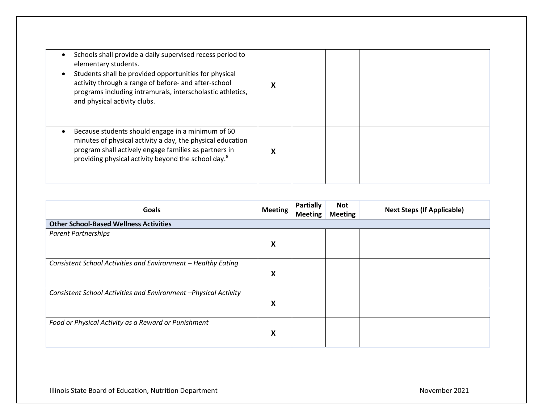| elementary students.<br>and physical activity clubs. | Schools shall provide a daily supervised recess period to<br>Students shall be provided opportunities for physical<br>activity through a range of before- and after-school<br>programs including intramurals, interscholastic athletics,    |  |  |
|------------------------------------------------------|---------------------------------------------------------------------------------------------------------------------------------------------------------------------------------------------------------------------------------------------|--|--|
|                                                      | Because students should engage in a minimum of 60<br>minutes of physical activity a day, the physical education<br>program shall actively engage families as partners in<br>providing physical activity beyond the school day. <sup>8</sup> |  |  |

| Goals                                                           | <b>Meeting</b> | <b>Partially</b><br><b>Meeting</b> | Not<br><b>Meeting</b> | <b>Next Steps (If Applicable)</b> |
|-----------------------------------------------------------------|----------------|------------------------------------|-----------------------|-----------------------------------|
| <b>Other School-Based Wellness Activities</b>                   |                |                                    |                       |                                   |
| <b>Parent Partnerships</b>                                      |                |                                    |                       |                                   |
|                                                                 | X              |                                    |                       |                                   |
| Consistent School Activities and Environment - Healthy Eating   | Χ              |                                    |                       |                                   |
|                                                                 |                |                                    |                       |                                   |
| Consistent School Activities and Environment -Physical Activity |                |                                    |                       |                                   |
|                                                                 | X              |                                    |                       |                                   |
| Food or Physical Activity as a Reward or Punishment             |                |                                    |                       |                                   |
|                                                                 | X              |                                    |                       |                                   |